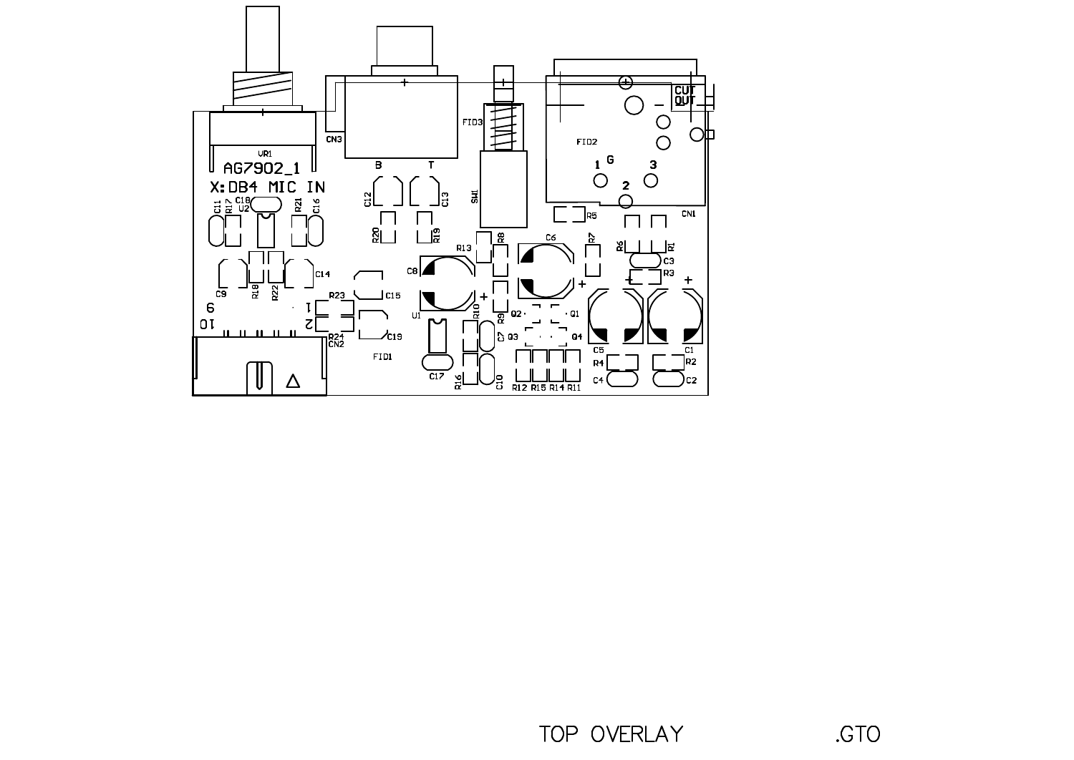